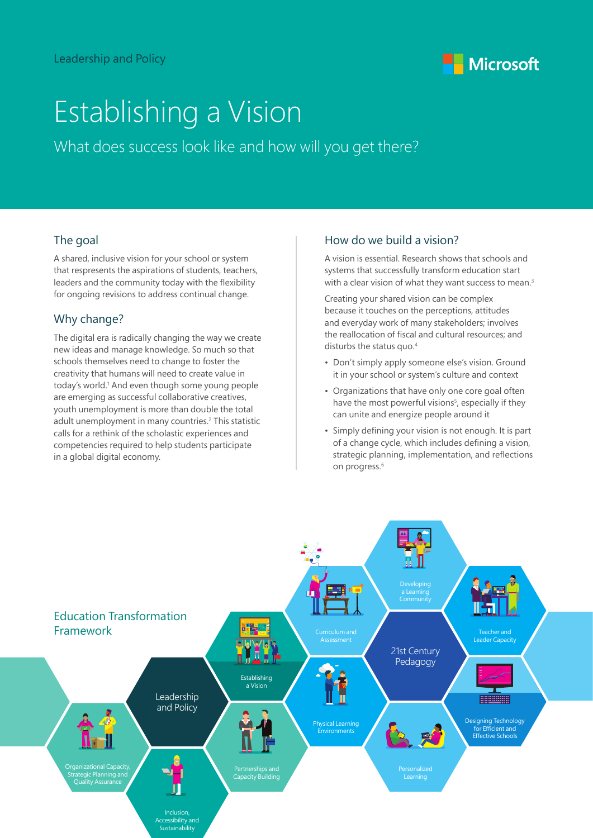

# Establishing a Vision

What does success look like and how will you get there?

#### The goal

A shared, inclusive vision for your school or system that respresents the aspirations of students, teachers, leaders and the community today with the flexibility for ongoing revisions to address continual change.

### Why change?

The digital era is radically changing the way we create new ideas and manage knowledge. So much so that schools themselves need to change to foster the creativity that humans will need to create value in today's world.<sup>1</sup> And even though some young people are emerging as successful collaborative creatives, youth unemployment is more than double the total adult unemployment in many countries.<sup>2</sup> This statistic calls for a rethink of the scholastic experiences and competencies required to help students participate in a global digital economy.

#### How do we build a vision?

A vision is essential. Research shows that schools and systems that successfully transform education start with a clear vision of what they want success to mean.<sup>3</sup>

Creating your shared vision can be complex because it touches on the perceptions, attitudes and everyday work of many stakeholders; involves the reallocation of fiscal and cultural resources; and disturbs the status quo.<sup>4</sup>

- Don't simply apply someone else's vision. Ground it in your school or system's culture and context
- Organizations that have only one core goal often have the most powerful visions<sup>5</sup>, especially if they can unite and energize people around it
- Simply defining your vision is not enough. It is part of a change cycle, which includes defining a vision, strategic planning, implementation, and reflections on progress.<sup>6</sup>